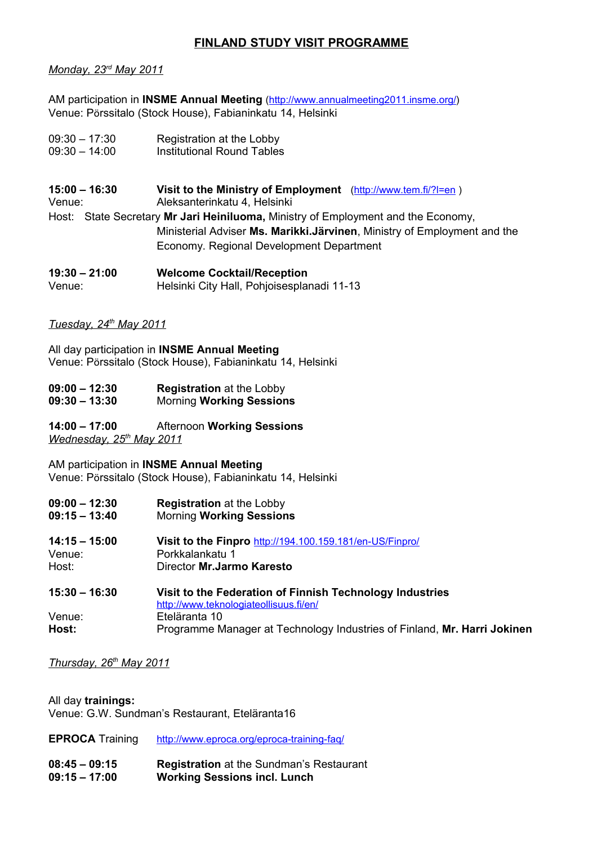# **FINLAND STUDY VISIT PROGRAMME**

### *Monday, 23rd May 2011*

AM participation in **INSME Annual Meeting** ([http://www.annualmeeting2011.insme.org/\)](http://www.annualmeeting2011.insme.org/) Venue: Pörssitalo (Stock House), Fabianinkatu 14, Helsinki

- 09:30 17:30 Registration at the Lobby 09:30 – 14:00 Institutional Round Tables
- 
- **15:00 16:30 Visit to the Ministry of Employment** [\(http://www.tem.fi/?l=en](http://www.tem.fi/?l=en) ) Venue: Aleksanterinkatu 4, Helsinki Host: State Secretary **Mr Jari Heiniluoma,** Ministry of Employment and the Economy, Ministerial Adviser **Ms. Marikki.Järvinen**, Ministry of Employment and the Economy. Regional Development Department

**19:30 – 21:00 Welcome Cocktail/Reception** Venue: Helsinki City Hall, Pohjoisesplanadi 11-13

## *Tuesday, 24th May 2011*

All day participation in **INSME Annual Meeting** Venue: Pörssitalo (Stock House), Fabianinkatu 14, Helsinki

- **09:00 12:30 Registration** at the Lobby
- **09:30 13:30** Morning **Working Sessions**

**14:00 – 17:00** Afternoon **Working Sessions**  *Wednesday, 25th May 2011*

AM participation in **INSME Annual Meeting** Venue: Pörssitalo (Stock House), Fabianinkatu 14, Helsinki

- **09:00 12:30 Registration** at the Lobby
- **09:15 13:40** Morning **Working Sessions**
- **14:15 15:00 Visit to the Finpro** <http://194.100.159.181/en-US/Finpro/> Venue: Porkkalankatu 1 Host: Director **Mr.Jarmo Karesto**
- **15:30 16:30 Visit to the Federation of Finnish Technology Industries** <http://www.teknologiateollisuus.fi/en/> Venue: Eteläranta 10 **Host:** Programme Manager at Technology Industries of Finland, **Mr. Harri Jokinen**

 *Thursday, 26th May 2011*

All day **trainings:** Venue: G.W. Sundman's Restaurant, Eteläranta16

- **EPROCA** Training <http://www.eproca.org/eproca-training-faq/>
- **08:45 09:15 Registration** at the Sundman's Restaurant **09:15 – 17:00 Working Sessions incl. Lunch**